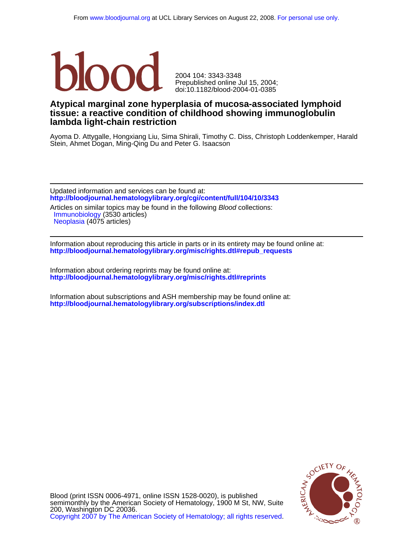

doi:10.1182/blood-2004-01-0385 Prepublished online Jul 15, 2004; 2004 104: 3343-3348

## **lambda light-chain restriction tissue: a reactive condition of childhood showing immunoglobulin Atypical marginal zone hyperplasia of mucosa-associated lymphoid**

Stein, Ahmet Dogan, Ming-Qing Du and Peter G. Isaacson Ayoma D. Attygalle, Hongxiang Liu, Sima Shirali, Timothy C. Diss, Christoph Loddenkemper, Harald

**<http://bloodjournal.hematologylibrary.org/cgi/content/full/104/10/3343>** Updated information and services can be found at:

[Neoplasia](http://bloodjournal.hematologylibrary.org/cgi/collection/neoplasia) (4075 articles) [Immunobiology](http://bloodjournal.hematologylibrary.org/cgi/collection/immunobiology) (3530 articles) Articles on similar topics may be found in the following Blood collections:

**[http://bloodjournal.hematologylibrary.org/misc/rights.dtl#repub\\_requests](http://bloodjournal.hematologylibrary.org/misc/rights.dtl#repub_requests)** Information about reproducing this article in parts or in its entirety may be found online at:

**<http://bloodjournal.hematologylibrary.org/misc/rights.dtl#reprints>** Information about ordering reprints may be found online at:

**<http://bloodjournal.hematologylibrary.org/subscriptions/index.dtl>** Information about subscriptions and ASH membership may be found online at:



[Copyright 2007 by The American Society of Hematology; all rights reserved.](http://bloodjournal.hematologylibrary.org/subscriptions/ToS.dtl) 200, Washington DC 20036. semimonthly by the American Society of Hematology, 1900 M St, NW, Suite Blood (print ISSN 0006-4971, online ISSN 1528-0020), is published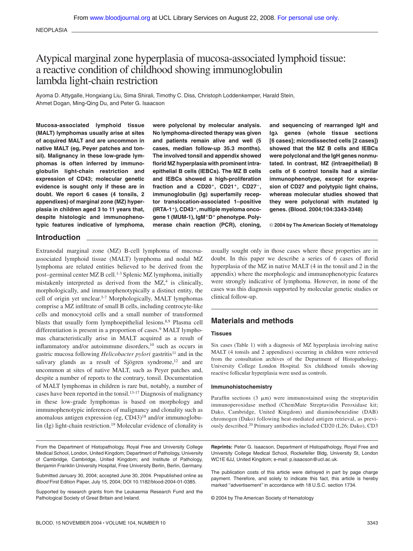NEOPLASIA

# Atypical marginal zone hyperplasia of mucosa-associated lymphoid tissue: a reactive condition of childhood showing immunoglobulin lambda light-chain restriction

Ayoma D. Attygalle, Hongxiang Liu, Sima Shirali, Timothy C. Diss, Christoph Loddenkemper, Harald Stein, Ahmet Dogan, Ming-Qing Du, and Peter G. Isaacson

**Mucosa-associated lymphoid tissue (MALT) lymphomas usually arise at sites of acquired MALT and are uncommon in native MALT (eg, Peyer patches and tonsil). Malignancy in these low-grade lymphomas is often inferred by immunoglobulin light-chain restriction and expression of CD43; molecular genetic evidence is sought only if these are in doubt. We report 6 cases (4 tonsils, 2 appendixes) of marginal zone (MZ) hyperplasia in children aged 3 to 11 years that, despite histologic and immunophenotypic features indicative of lymphoma,**

**were polyclonal by molecular analysis. No lymphoma-directed therapy was given and patients remain alive and well (5 cases, median follow-up 35.3 months). The involved tonsil and appendix showed florid MZ hyperplasia with prominent intraepithelial B cells (IEBCs). The MZ B cells and IEBCs showed a high-proliferation fraction and a CD20, CD21, CD27**-**, immunoglobulin (Ig) superfamily receptor translocation-associated 1–positive (IRTA-1), CD43, multiple myeloma onco**gene 1 (MUM-1), IgM<sup>+</sup>D<sup>+</sup> phenotype. Poly**merase chain reaction (PCR), cloning,**

**and sequencing of rearranged IgH and Ig genes (whole tissue sections [6 cases]; microdissected cells [2 cases]) showed that the MZ B cells and IEBCs were polyclonal and the IgH genes nonmutated. In contrast, MZ (intraepithelial) B cells of 6 control tonsils had a similar immunophenotype, except for expression of CD27 and polytypic light chains, whereas molecular studies showed that they were polyclonal with mutated Ig genes. (Blood. 2004;104:3343-3348)**

© **2004 by The American Society of Hematology**

## **Introduction**

Extranodal marginal zone (MZ) B-cell lymphoma of mucosaassociated lymphoid tissue (MALT) lymphoma and nodal MZ lymphoma are related entities believed to be derived from the post–germinal center MZ B cell.1-3 Splenic MZ lymphoma, initially mistakenly interpreted as derived from the  $MZ$ ,<sup>4</sup> is clinically, morphologically, and immunophenotypically a distinct entity, the cell of origin yet unclear.5-7 Morphologically, MALT lymphomas comprise a MZ infiltrate of small B cells, including centrocyte-like cells and monocytoid cells and a small number of transformed blasts that usually form lymphoepithelial lesions.<sup>8,9</sup> Plasma cell differentiation is present in a proportion of cases.<sup>9</sup> MALT lymphomas characteristically arise in MALT acquired as a result of inflammatory and/or autoimmune disorders,<sup>10</sup> such as occurs in gastric mucosa following *Helicobacter pylori* gastritis<sup>11</sup> and in the salivary glands as a result of Sjögren syndrome,<sup>12</sup> and are uncommon at sites of native MALT, such as Peyer patches and, despite a number of reports to the contrary, tonsil. Documentation of MALT lymphomas in children is rare but, notably, a number of cases have been reported in the tonsil.<sup>13-17</sup> Diagnosis of malignancy in these low-grade lymphomas is based on morphology and immunophenotypic inferences of malignancy and clonality such as anomalous antigen expression (eg, CD43)18 and/or immunoglobulin (Ig) light-chain restriction.19 Molecular evidence of clonality is usually sought only in those cases where these properties are in doubt. In this paper we describe a series of 6 cases of florid hyperplasia of the MZ in native MALT (4 in the tonsil and 2 in the appendix) where the morphologic and immunophenotypic features were strongly indicative of lymphoma. However, in none of the cases was this diagnosis supported by molecular genetic studies or clinical follow-up.

## **Materials and methods**

#### **Tissues**

Six cases (Table 1) with a diagnosis of MZ hyperplasia involving native MALT (4 tonsils and 2 appendixes) occurring in children were retrieved from the consultation archives of the Department of Histopathology, University College London Hospital. Six childhood tonsils showing reactive follicular hyperplasia were used as controls.

#### **Immunohistochemistry**

Paraffin sections (3  $\mu$ m) were immunostained using the streptavidin immunoperoxidase method (ChemMate Streptavidin Peroxidase kit; Dako, Cambridge, United Kingdom) and diaminobenzidine (DAB) chromogen (Dako) following heat-mediated antigen retrieval, as previously described.20 Primary antibodies included CD20 (L26; Dako), CD3

From the Department of Histopathology, Royal Free and University College Medical School, London, United Kingdom; Department of Pathology, University of Cambridge, Cambridge, United Kingdom; and Institute of Pathology, Benjamin Franklin University Hospital, Free University Berlin, Berlin, Germany.

Submitted January 30, 2004; accepted June 30, 2004. Prepublished online as *Blood* First Edition Paper, July 15, 2004; DOI 10.1182/blood-2004-01-0385.

Supported by research grants from the Leukaemia Research Fund and the Pathological Society of Great Britain and Ireland.

**Reprints:** Peter G. Isaacson, Department of Histopathology, Royal Free and University College Medical School, Rockefeller Bldg, University St, London WC1E 6JJ, United Kingdom; e-mail: p.isaacson@ucl.ac.uk.

The publication costs of this article were defrayed in part by page charge payment. Therefore, and solely to indicate this fact, this article is hereby marked "advertisement" in accordance with 18 U.S.C. section 1734.

© 2004 by The American Society of Hematology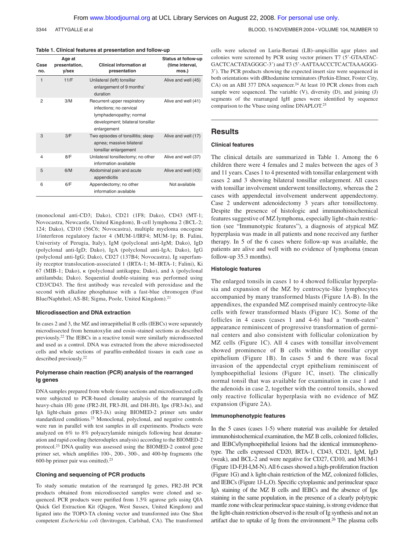3344 ATTYGALLE et al BLOOD, 15 NOVEMBER 2004 · VOLUME 104, NUMBER 10

#### **Table 1. Clinical features at presentation and follow-up**

| Case<br>no. | Age at<br>presentation,<br>y/sex | <b>Clinical information at</b><br>presentation                                                                                       | Status at follow-up<br>(time interval,<br>mos.) |
|-------------|----------------------------------|--------------------------------------------------------------------------------------------------------------------------------------|-------------------------------------------------|
| 1           | 11/F                             | Unilateral (left) tonsillar<br>enlargement of 9 months'<br>duration                                                                  | Alive and well (45)                             |
| 2           | 3/M                              | Recurrent upper respiratory<br>infections; no cervical<br>lymphadenopathy; normal<br>development; bilateral tonsillar<br>enlargement | Alive and well (41)                             |
| 3           | 3/F                              | Two episodes of tonsillitis; sleep<br>apnea; massive bilateral<br>tonsillar enlargement                                              | Alive and well (17)                             |
| 4           | 8/F                              | Unilateral tonsillectomy; no other<br>information available                                                                          | Alive and well (37)                             |
| 5           | 6/M                              | Abdominal pain and acute<br>appendicitis                                                                                             | Alive and well (43)                             |
| 6           | 6/F                              | Appendectomy; no other<br>information available                                                                                      | Not available                                   |

(monoclonal anti-CD3; Dako), CD21 (1F8; Dako), CD43 (MT-1; Novocastra, Newcastle, United Kingdom), B-cell lymphoma 2 (BCL-2; 124; Dako), CD10 (56C6; Novocastra), multiple myeloma oncogene 1/interferon regulatory factor 4 (MUM-1/IRF4; MUM-1p; B. Falini, Univeristy of Perugia, Italy), IgM (polyclonal anti-IgM; Dako), IgD (polyclonal anti-IgD; Dako), IgA (polyclonal anti-IgA; Dako), IgG (polyclonal anti-IgG; Dako), CD27 (137B4; Novocastra), Ig superfamily receptor translocation-associated 1 (IRTA-1; M–IRTA-1; Falini), Ki 67 (MIB-1; Dako),  $\kappa$  (polyclonal antikappa; Dako), and  $\lambda$  (polyclonal antilambda; Dako). Sequential double-staining was performed using CD3/CD43. The first antibody was revealed with peroxidase and the second with alkaline phosphatase with a fast-blue chromogen (Fast Blue/Naphthol; AS-BI; Sigma, Poole, United Kingdom).21

#### **Microdissection and DNA extraction**

In cases 2 and 3, the MZ and intraepithelial B cells (IEBCs) were separately microdissected from hematoxylin and eosin–stained sections as described previously.22 The IEBCs in a reactive tonsil were similarly microdissected and used as a control. DNA was extracted from the above microdissected cells and whole sections of paraffin-embedded tissues in each case as described previously.22

#### **Polymerase chain reaction (PCR) analysis of the rearranged Ig genes**

DNA samples prepared from whole tissue sections and microdissected cells were subjected to PCR-based clonality analysis of the rearranged Ig heavy-chain (H) gene (FR2-JH, FR3-JH, and DH-JH), Igk (FR3-Jk), and Ig \ light-chain genes (FR3-J) using BIOMED-2 primer sets under standardized conditions.23 Monoclonal, polyclonal, and negative controls were run in parallel with test samples in all experiments. Products were analyzed on 6% to 8% polyacrylamide minigels following heat denaturation and rapid cooling (heteroduplex analysis) according to the BIOMED-2 protocol.23 DNA quality was assessed using the BIOMED-2 control gene primer set, which amplifies 100-, 200-, 300-, and 400-bp fragments (the 600-bp primer pair was omitted).23

#### **Cloning and sequencing of PCR products**

To study somatic mutation of the rearranged Ig genes, FR2-JH PCR products obtained from microdissected samples were cloned and sequenced. PCR products were purified from 1.5% agarose gels using QIA Quick Gel Extraction Kit (Qiagen, West Sussex, United Kingdom) and ligated into the TOPO-TA cloning vector and transformed into One Shot competent *Escherichia coli* (Invitrogen, Carlsbad, CA). The transformed cells were selected on Luria-Bertani (LB)–ampicillin agar plates and colonies were screened by PCR using vector primers T7 (5-GTAATAC-GACTCACTATAGGGC-3) and T3 (5-AATTAACCCTCACTAAAGGG-3). The PCR products showing the expected insert size were sequenced in both orientations with dRhodamine terminators (Perkin-Elmer, Foster City, CA) on an ABI 377 DNA sequencer.<sup>24</sup> At least 10 PCR clones from each sample were sequenced. The variable (V), diversity (D), and joining (J) segments of the rearranged IgH genes were identified by sequence comparison to the Vbase using online DNAPLOT.25

## **Results**

### **Clinical features**

The clinical details are summarized in Table 1. Among the 6 children there were 4 females and 2 males between the ages of 3 and 11 years. Cases 1 to 4 presented with tonsillar enlargement with cases 2 and 3 showing bilateral tonsillar enlargement. All cases with tonsillar involvement underwent tonsillectomy, whereas the 2 cases with appendectal involvement underwent appendectomy. Case 2 underwent adenoidectomy 3 years after tonsillectomy. Despite the presence of histologic and immunohistochemical features suggestive of MZ lymphoma, especially light-chain restriction (see "Immunotypic features"), a diagnosis of atypical MZ hyperplasia was made in all patients and none received any further therapy. In 5 of the 6 cases where follow-up was available, the patients are alive and well with no evidence of lymphoma (mean follow-up 35.3 months).

#### **Histologic features**

The enlarged tonsils in cases 1 to 4 showed follicular hyperplasia and expansion of the MZ by centrocyte-like lymphocytes accompanied by many transformed blasts (Figure 1A-B). In the appendixes, the expanded MZ comprised mainly centrocyte-like cells with fewer transformed blasts (Figure 1C). Some of the follicles in 4 cases (cases 1 and 4-6) had a "moth-eaten" appearance reminiscent of progressive transformation of germinal centers and also consistent with follicular colonization by MZ cells (Figure 1C). All 4 cases with tonsillar involvement showed prominence of B cells within the tonsillar crypt epithelium (Figure 1B). In cases 5 and 6 there was focal invasion of the appendectal crypt epithelium reminiscent of lymphoepithelial lesions (Figure 1C, inset). The clinically normal tonsil that was available for examination in case 1 and the adenoids in case 2, together with the control tonsils, showed only reactive follicular hyperplasia with no evidence of MZ expansion (Figure 2A).

#### **Immunophenotypic features**

In the 5 cases (cases 1-5) where material was available for detailed immunohistochemical examination, the MZ B cells, colonized follicles, and IEBCs/lymphoepithelial lesions had the identical immunophenotype. The cells expressed CD20, IRTA-1, CD43, CD21, IgM, IgD (weak), and BCL-2 and were negative for CD27, CD10, and MUM-1 (Figure 1D-F,H-I,M-N).All 6 cases showed a high-proliferation fraction (Figure 1G) and  $\lambda$  light-chain restriction of the MZ, colonized follicles, and IEBCs (Figure 1J-L,O). Specific cytoplasmic and perinuclear space Ig \ staining of the MZ B cells and IEBCs and the absence of IgK staining in the same population, in the presence of a clearly polytypic mantle zone with clear perinuclear space staining, is strong evidence that the light-chain restriction observed is the result of Ig synthesis and not an artifact due to uptake of Ig from the environment.26 The plasma cells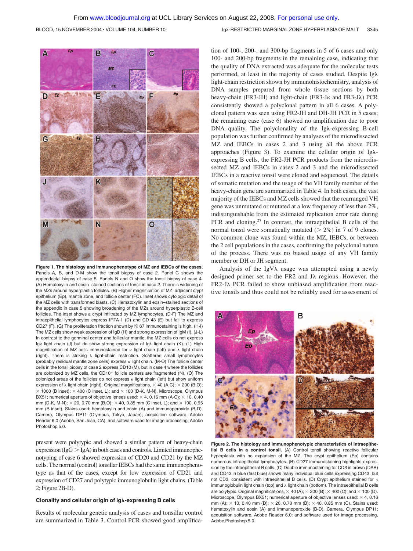BLOOD, 15 NOVEMBER 2004 · VOLUME 104, NUMBER 10 Ig A RESTRICTED MARGINAL ZONE HYPERPLASIA OF MALT 3345



**Figure 1. The histology and immunophenotype of MZ and IEBCs of the cases.** Panels A, B, and D-M show the tonsil biopsy of case 2. Panel C shows the appendectal biopsy of case 5. Panels N and O show the tonsil biopsy of case 4. (A) Hematoxylin and eosin–stained sections of tonsil in case 2. There is widening of the MZs around hyperplastic follicles. (B) Higher magnification of MZ, adjacent crypt epithelium (Ep), mantle zone, and follicle center (FC). Inset shows cytologic detail of the MZ cells with transformed blasts. (C) Hematoxylin and eosin–stained sections of the appendix in case 5 showing broadening of the MZs around hyperplastic B-cell follicles. The inset shows a crypt infiltrated by MZ lymphocytes. (D-F) The MZ and intraepithelial lymphocytes express IRTA-1 (D) and CD 43 (E) but fail to express CD27 (F). (G) The proliferation fraction shown by Ki 67 immunostaining is high. (H-I) The MZ cells show weak expression of IgD (H) and strong expression of IgM (I). (J-L) In contrast to the germinal center and follicular mantle, the MZ cells do not express Ig<sub>K</sub> light chain (J) but do show strong expression of Ig) light chain (K). (L) High magnification of MZ cells immunostained for  $\kappa$  light chain (left) and  $\lambda$  light chain (right). There is striking  $\lambda$  light-chain restriction. Scattered small lymphocytes (probably residual mantle zone cells) express  $\kappa$  light chain. (M-O) The follicle center cells in the tonsil biopsy of case 2 express CD10 (M), but in case 4 where the follicles are colonized by MZ cells, the CD10<sup>+</sup> follicle centers are fragmented (N). (O) The colonized areas of the follicles do not express  $\kappa$  light chain (left) but show uniform expression of  $\lambda$  light chain (right). Original magnifications,  $\times$  40 (A,C);  $\times$  200 (B,O);  $\times$  1000 (B inset);  $\times$  400 (C inset, L); and  $\times$  100 (D-K, M-N). Microscope, Olympus BX51; numerical aperture of objective lenses used:  $\times$  4, 0.16 mm (A-C):  $\times$  10, 0.40 mm (D-K, M-N);  $\times$  20, 0.70 mm (B,O);  $\times$  40, 0.85 mm (C inset, L); and  $\times$  100, 0.95 mm (B inset). Stains used: hematoxylin and eosin (A) and immunoperoxide (B-D). Camera, Olympus DP11 (Olympus, Tokyo, Japan); acquisition software, Adobe Reader 6.0 (Adobe, San Jose, CA); and software used for image processing, Adobe Photoshop 5.0.

present were polytypic and showed a similar pattern of heavy-chain expression ( $IgG > IgA$ ) in both cases and controls. Limited immunophenotyping of case 6 showed expression of CD20 and CD21 by the MZ cells. The normal (control) tonsillar IEBCs had the same immunophenotype as that of the cases, except for low expression of CD21 and expression of CD27 and polytypic immunoglobulin light chains. (Table 2; Figure 2B-D).

#### **Clonality and cellular origin of Ig-expressing B cells**

Results of molecular genetic analysis of cases and tonsillar control are summarized in Table 3. Control PCR showed good amplification of 100-, 200-, and 300-bp fragments in 5 of 6 cases and only 100- and 200-bp fragments in the remaining case, indicating that the quality of DNA extracted was adequate for the molecular tests performed, at least in the majority of cases studied. Despite Ig light-chain restriction shown by immunohistochemistry, analysis of DNA samples prepared from whole tissue sections by both heavy-chain (FR3-JH) and light-chain (FR3-J<sub>K</sub> and FR3-J $\lambda$ ) PCR consistently showed a polyclonal pattern in all 6 cases. A polyclonal pattern was seen using FR2-JH and DH-JH PCR in 5 cases; the remaining case (case 6) showed no amplification due to poor  $DNA$  quality. The polyclonality of the Ig $\lambda$ -expressing B-cell population was further confirmed by analyses of the microdissected MZ and IEBCs in cases 2 and 3 using all the above PCR approaches (Figure 3). To examine the cellular origin of Ig $\lambda$ expressing B cells, the FR2-JH PCR products from the microdissected MZ and IEBCs in cases 2 and 3 and the microdissected IEBCs in a reactive tonsil were cloned and sequenced. The details of somatic mutation and the usage of the VH family member of the heavy-chain gene are summarized in Table 4. In both cases, the vast majority of the IEBCs and MZ cells showed that the rearranged VH gene was unmutated or mutated at a low frequency of less than 2%, indistinguishable from the estimated replication error rate during PCR and cloning.27 In contrast, the intraepithelial B cells of the normal tonsil were somatically mutated  $(2\%)$  in 7 of 9 clones. No common clone was found within the MZ, IEBCs, or between the 2 cell populations in the cases, confirming the polyclonal nature of the process. There was no biased usage of any VH family member or DH or JH segment.

Analysis of the IgV $\lambda$  usage was attempted using a newly designed primer set to the FR2 and  $J\lambda$  regions. However, the  $FR2-J\lambda$  PCR failed to show unbiased amplification from reactive tonsils and thus could not be reliably used for assessment of



**Figure 2. The histology and immunophenotypic characteristics of intraepithelial B cells in a control tonsil.** (A) Control tonsil showing reactive follicular hyperplasia with no expansion of the MZ. The crypt epithelium (Ep) contains numerous intraepithelial lymphocytes. (B) CD27 immunostaining highlights expression by the intraepithelial B cells. (C) Double immunostaining for CD3 in brown (DAB) and CD43 in blue (fast blue) shows many individual blue cells expressing CD43, but not CD3, consistent with intraepithelial B cells. (D) Crypt epithelium stained for  $\kappa$ immunoglobulin light chain (top) and  $\lambda$  light chain (bottom). The intraepithelial B cells are polytypic. Original magnifications,  $\times$  40 (A);  $\times$  200 (B);  $\times$  400 (C); and  $\times$  100 (D). Microscope, Olympus BX51; numerical aperture of objective lenses used:  $\times$  4, 0.16 mm (A);  $\times$  10, 0.40 mm (D);  $\times$  20, 0.70 mm (B);  $\times$  40, 0.85 mm (C). Stains used: hematoxylin and eosin (A) and immunoperoxide (B-D). Camera, Olympus DP11; acquisition software, Adobe Reader 6.0; and software used for image processing, Adobe Photoshop 5.0.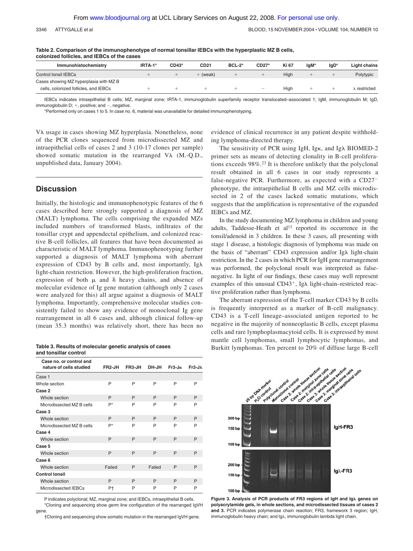| Immunohistochemistry                   | IRTA-1* | CD43* | CD <sub>21</sub> | <b>BCL-2*</b> | $CD27*$                                                                                                                                                                                                                                                                                                                                                                            | Ki 67 | lgM* | $lgD*$ | <b>Light chains</b> |
|----------------------------------------|---------|-------|------------------|---------------|------------------------------------------------------------------------------------------------------------------------------------------------------------------------------------------------------------------------------------------------------------------------------------------------------------------------------------------------------------------------------------|-------|------|--------|---------------------|
| Control tonsil IEBCs                   |         |       | + (weak)         |               |                                                                                                                                                                                                                                                                                                                                                                                    | Hiah  |      |        | Polytypic           |
| Cases showing MZ hyperplasia with MZ B |         |       |                  |               |                                                                                                                                                                                                                                                                                                                                                                                    |       |      |        |                     |
| cells, colonized follicles, and IEBCs  |         |       |                  |               | $\hspace{1.0cm} \hspace{1.0cm} \hspace{1.0cm} \hspace{1.0cm} \hspace{1.0cm} \hspace{1.0cm} \hspace{1.0cm} \hspace{1.0cm} \hspace{1.0cm} \hspace{1.0cm} \hspace{1.0cm} \hspace{1.0cm} \hspace{1.0cm} \hspace{1.0cm} \hspace{1.0cm} \hspace{1.0cm} \hspace{1.0cm} \hspace{1.0cm} \hspace{1.0cm} \hspace{1.0cm} \hspace{1.0cm} \hspace{1.0cm} \hspace{1.0cm} \hspace{1.0cm} \hspace{$ | High  |      |        | ⊾restricted         |

**Table 2. Comparison of the immunophenotype of normal tonsillar IEBCs with the hyperplastic MZ B cells, colonized follicles, and IEBCs of the cases**

IEBCs indicates intraepithelial B cells; MZ, marginal zone; IRTA-1, immunoglobulin superfamily receptor translocated–associated 1; IgM, immunoglobulin M; IgD, immunoglobulin  $D$ ;  $+$ , positive; and  $-$ , negative.

\*Performed only on cases 1 to 5. In case no. 6, material was unavailable for detailed immunophenotyping.

V $\lambda$  usage in cases showing MZ hyperplasia. Nonetheless, none of the PCR clones sequenced from microdissected MZ and intraepithelial cells of cases 2 and 3 (10-17 clones per sample) showed somatic mutation in the rearranged  $V\lambda$  (M.-Q.D., unpublished data, January 2004).

### **Discussion**

Initially, the histologic and immunophenotypic features of the 6 cases described here strongly supported a diagnosis of MZ (MALT) lymphoma. The cells comprising the expanded MZs included numbers of transformed blasts, infiltrates of the tonsillar crypt and appendectal epithelium, and colonized reactive B-cell follicles, all features that have been documented as characteristic of MALT lymphoma. Immunophenotyping further supported a diagnosis of MALT lymphoma with aberrant expression of CD43 by B cells and, most importantly, Ig light-chain restriction. However, the high-proliferation fraction, expression of both  $\mu$  and  $\delta$  heavy chains, and absence of molecular evidence of Ig gene mutation (although only 2 cases were analyzed for this) all argue against a diagnosis of MALT lymphoma. Importantly, comprehensive molecular studies consistently failed to show any evidence of monoclonal Ig gene rearrangement in all 6 cases and, although clinical follow-up (mean 35.3 months) was relatively short, there has been no

| Table 3. Results of molecular genetic analysis of cases |  |
|---------------------------------------------------------|--|
| and tonsillar control                                   |  |

| Case no, or control and   |                     |        |        |          |                |
|---------------------------|---------------------|--------|--------|----------|----------------|
| nature of cells studied   | FR <sub>2</sub> -JH | FR3-JH | DH-JH  | $Fr3-JK$ | $Fr3-J\lambda$ |
| Case 1                    |                     |        |        |          |                |
| Whole section             | P                   | P      | P      | P        | P              |
| Case 2                    |                     |        |        |          |                |
| Whole section             | P                   | P      | P      | P        | P              |
| Microdissected MZ B cells | $P^*$               | P      | P      | P        | P              |
| Case 3                    |                     |        |        |          |                |
| Whole section             | P                   | P      | P      | P        | P              |
| Microdissected MZ B cells | P*                  | P      | P      | P        | P              |
| Case 4                    |                     |        |        |          |                |
| Whole section             | P                   | P      | P      | P        | P              |
| Case 5                    |                     |        |        |          |                |
| Whole section             | P                   | P      | P      | P        | P              |
| Case 6                    |                     |        |        |          |                |
| Whole section             | Failed              | P      | Failed | P        | P              |
| <b>Control tonsil</b>     |                     |        |        |          |                |
| Whole section             | P                   | P      | P      | P        | P              |
| Microdissected IEBCs      | P†                  | P      | P      | P        | P              |

P indicates polyclonal; MZ, marginal zone; and IEBCs, intraepithelial B cells. \*Cloning and sequencing show germ line configuration of the rearranged IgVH

gene.

†Cloning and sequencing show somatic mutation in the rearranged IgVH gene.

evidence of clinical recurrence in any patient despite withholding lymphoma-directed therapy.

The sensitivity of PCR using IgH, Igk, and Ig $\lambda$  BIOMED-2 primer sets as means of detecting clonality in B-cell proliferations exceeds 98%.23 It is therefore unlikely that the polyclonal result obtained in all 6 cases in our study represents a false-negative PCR. Furthermore, as expected with a CD27 phenotype, the intraepithelial B cells and MZ cells microdissected in 2 of the cases lacked somatic mutations, which suggests that the amplification is representative of the expanded IEBCs and MZ.

In the study documenting MZ lymphoma in children and young adults, Taddesse-Heath et  $al<sup>13</sup>$  reported its occurrence in the tonsil/adenoid in 3 children. In these 3 cases, all presenting with stage 1 disease, a histologic diagnosis of lymphoma was made on the basis of "aberrant" CD43 expression and/or Ig $\lambda$  light-chain restriction. In the 2 cases in which PCR for IgH gene rearrangement was performed, the polyclonal result was interpreted as falsenegative. In light of our findings, these cases may well represent examples of this unusual  $CD43^+$ , Ig $\lambda$  light-chain–restricted reactive proliferation rather than lymphoma.

The aberrant expression of the T-cell marker CD43 by B cells is frequently interpreted as a marker of B-cell malignancy. CD43 is a T-cell lineage–associated antigen reported to be negative in the majority of nonneoplastic B cells, except plasma cells and rare lymphoplasmacytoid cells. It is expressed by most mantle cell lymphomas, small lymphocytic lymphomas, and Burkitt lymphomas. Ten percent to 20% of diffuse large B-cell



Figure 3. Analysis of PCR products of FR3 regions of IgH and Ig<sub>A</sub> genes on **polyacrylamide gels, in whole sections, and microdissected tissues of cases 2 and 3.** PCR indicates polymerase chain reaction; FR3, framework 3 region; IgH, immunoglobulin heavy chain; and Ig $\lambda$ , immunoglobulin lambda light chain.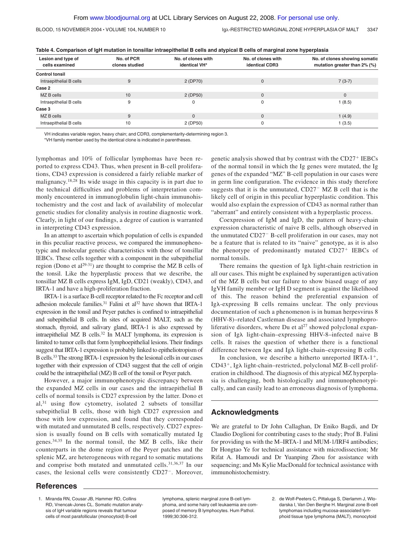BLOOD, 15 NOVEMBER 2004 · VOLUME 104, NUMBER 10 Ig A RESTRICTED MARGINAL ZONE HYPERPLASIA OF MALT 3347

| Lesion and type of<br>cells examined | No. of PCR<br>clones studied | No. of clones with<br>identical VH* | No. of clones with<br><b>identical CDR3</b> | No. of clones showing somatic<br>mutation greater than 2% (%) |  |  |
|--------------------------------------|------------------------------|-------------------------------------|---------------------------------------------|---------------------------------------------------------------|--|--|
| <b>Control tonsil</b>                |                              |                                     |                                             |                                                               |  |  |
| Intraepithelial B cells              | 9                            | 2 (DP70)                            | 0                                           | $7(3-7)$                                                      |  |  |
| Case 2                               |                              |                                     |                                             |                                                               |  |  |
| MZ B cells                           | 10                           | 2 (DP50)                            | 0                                           | $\Omega$                                                      |  |  |
| Intraepithelial B cells              | 9                            | 0                                   |                                             | 1(8.5)                                                        |  |  |
| Case 3                               |                              |                                     |                                             |                                                               |  |  |
| MZ B cells                           | 9                            | $\Omega$                            | $\Omega$                                    | 1(4.9)                                                        |  |  |
| Intraepithelial B cells              | 10                           | 2 (DP50)                            | 0                                           | 1(3.5)                                                        |  |  |

**Table 4. Comparison of IgH mutation in tonsillar intraepithelial B cells and atypical B cells of marginal zone hyperplasia**

VH indicates variable region, heavy chain; and CDR3, complementarity-determining region 3.

\*VH family member used by the identical clone is indicated in parentheses.

lymphomas and 10% of follicular lymphomas have been reported to express CD43. Thus, when present in B-cell proliferations, CD43 expression is considered a fairly reliable marker of malignancy.18,28 Its wide usage in this capacity is in part due to the technical difficulties and problems of interpretation commonly encountered in immunoglobulin light-chain immunohistochemistry and the cost and lack of availability of molecular genetic studies for clonality analysis in routine diagnostic work. Clearly, in light of our findings, a degree of caution is warranted in interpreting CD43 expression.

In an attempt to ascertain which population of cells is expanded in this peculiar reactive process, we compared the immunophenotypic and molecular genetic characteristics with those of tonsillar IEBCs. These cells together with a component in the subepithelial region (Dono et al<sup>29-31</sup>) are thought to comprise the MZ B cells of the tonsil. Like the hyperplastic process that we describe, the tonsillar MZ B cells express IgM, IgD, CD21 (weakly), CD43, and IRTA-1 and have a high-proliferation fraction.

IRTA-1 is a surface B-cell receptor related to the Fc receptor and cell adhesion molecule families.<sup>31</sup> Falini et al<sup>32</sup> have shown that IRTA-1 expression in the tonsil and Peyer patches is confined to intraepithelial and subepithelial B cells. In sites of acquired MALT, such as the stomach, thyroid, and salivary gland, IRTA-1 is also expressed by intraepithelial MZ B cells.32 In MALT lymphoma, its expression is limited to tumor cells that form lymphoepithelial lesions. Their findings suggest that IRTA-1 expression is probably linked to epitheliotropism of B cells.33 The strong IRTA-1 expression by the lesional cells in our cases together with their expression of CD43 suggest that the cell of origin could be the intraepithelial (MZ) B cell of the tonsil or Peyer patch.

However, a major immunophenotypic discrepancy between the expanded MZ cells in our cases and the intraepithelial B cells of normal tonsils is CD27 expression by the latter. Dono et al,31 using flow cytometry, isolated 2 subsets of tonsillar subepithelial B cells, those with high CD27 expression and those with low expression, and found that they corresponded with mutated and unmutated B cells, respectively. CD27 expression is usually found on B cells with somatically mutated Ig genes.34,35 In the normal tonsil, the MZ B cells, like their counterparts in the dome region of the Peyer patches and the splenic MZ, are heterogeneous with regard to somatic mutations and comprise both mutated and unmutated cells.<sup>31,36,37</sup> In our cases, the lesional cells were consistently CD27<sup>-</sup>. Moreover, genetic analysis showed that by contrast with the CD27<sup>+</sup> IEBCs of the normal tonsil in which the Ig genes were mutated, the Ig genes of the expanded "MZ" B-cell population in our cases were in germ line configuration. The evidence in this study therefore suggests that it is the unmutated,  $CD27<sup>-</sup> MZ B$  cell that is the likely cell of origin in this peculiar hyperplastic condition. This would also explain the expression of CD43 as normal rather than "aberrant" and entirely consistent with a hyperplastic process.

Coexpression of IgM and IgD, the pattern of heavy-chain expression characteristic of naive B cells, although observed in the unmutated CD27<sup>-</sup> B-cell proliferation in our cases, may not be a feature that is related to its "naive" genotype, as it is also the phenotype of predominantly mutated  $CD27<sup>+</sup>$  IEBCs of normal tonsils.

There remains the question of Ig $\lambda$  light-chain restriction in all our cases. This might be explained by superantigen activation of the MZ B cells but our failure to show biased usage of any IgVH family member or IgH D segment is against the likelihood of this. The reason behind the preferential expansion of Ig $\lambda$ -expressing B cells remains unclear. The only previous documentation of such a phenomenon is in human herpesvirus 8 (HHV-8)–related Castleman disease and associated lymphoproliferative disorders, where Du et  $al<sup>27</sup>$  showed polyclonal expansion of Ig $\lambda$  light-chain–expressing HHV-8–infected naive B cells. It raises the question of whether there is a functional difference between Igk and Ig $\lambda$  light-chain–expressing B cells.

In conclusion, we describe a hitherto unreported IRTA-1<sup>+</sup>,  $CD43^+$ , Ig $\lambda$  light-chain–restricted, polyclonal MZ B-cell proliferation in childhood. The diagnosis of this atypical MZ hyperplasia is challenging, both histologically and immunophenotypically, and can easily lead to an erroneous diagnosis of lymphoma.

## **Acknowledgments**

We are grateful to Dr John Callaghan, Dr Eniko Bagdi, and Dr Claudio Doglioni for contributing cases to the study; Prof B. Falini for providing us with the M–IRTA-1 and MUM-1/IRF4 antibodies; Dr Hongtao Ye for technical assistance with microdissection; Mr Rifat A. Hamoudi and Dr Yuanping Zhou for assistance with sequencing; and Ms Kylie MacDonald for technical assistance with immunohistochemistry.

### **References**

1. Miranda RN, Cousar JB, Hammer RD, Collins RD, Vnencak-Jones CL. Somatic mutation analysis of IgH variable regions reveals that tumour cells of most parafollicular (monocytoid) B-cell

lymphoma, splenic marginal zone B-cell lymphoma, and some hairy cell leukaemia are composed of memory B lymphocytes. Hum Pathol. 1999;30:306-312.

2. de Wolf-Peeters C, Pittaluga S, Dierlamm J, Wlodarska I, Van Den Berghe H. Marginal zone B-cell lymphomas including mucosa-associated lymphoid tissue type lymphoma (MALT), monocytoid